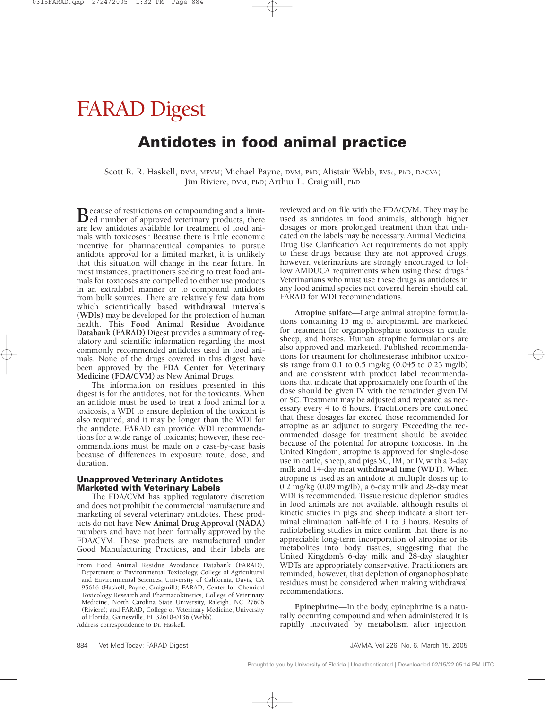# FARAD Digest

## **Antidotes in food animal practice**

Scott R. R. Haskell, DVM, MPVM; Michael Payne, DVM, PhD; Alistair Webb, BVSc, PhD, DACVA; Jim Riviere, DVM, PhD; Arthur L. Craigmill, PhD

**B**ecause of restrictions on compounding and a limit-<br>ed number of approved veterinary products, there are few antidotes available for treatment of food animals with toxicoses.<sup>1</sup> Because there is little economic incentive for pharmaceutical companies to pursue antidote approval for a limited market, it is unlikely that this situation will change in the near future. In most instances, practitioners seeking to treat food animals for toxicoses are compelled to either use products in an extralabel manner or to compound antidotes from bulk sources. There are relatively few data from which scientifically based **withdrawal intervals (WDIs)** may be developed for the protection of human health. This **Food Animal Residue Avoidance Databank (FARAD)** Digest provides a summary of regulatory and scientific information regarding the most commonly recommended antidotes used in food animals. None of the drugs covered in this digest have been approved by the **FDA Center for Veterinary Medicine (FDA/CVM)** as New Animal Drugs.

The information on residues presented in this digest is for the antidotes, not for the toxicants. When an antidote must be used to treat a food animal for a toxicosis, a WDI to ensure depletion of the toxicant is also required, and it may be longer than the WDI for the antidote. FARAD can provide WDI recommendations for a wide range of toxicants; however, these recommendations must be made on a case-by-case basis because of differences in exposure route, dose, and duration.

#### **Unapproved Veterinary Antidotes Marketed with Veterinary Labels**

The FDA/CVM has applied regulatory discretion and does not prohibit the commercial manufacture and marketing of several veterinary antidotes. These products do not have **New Animal Drug Approval (NADA)** numbers and have not been formally approved by the FDA/CVM. These products are manufactured under Good Manufacturing Practices, and their labels are reviewed and on file with the FDA/CVM. They may be used as antidotes in food animals, although higher dosages or more prolonged treatment than that indicated on the labels may be necessary. Animal Medicinal Drug Use Clarification Act requirements do not apply to these drugs because they are not approved drugs; however, veterinarians are strongly encouraged to follow AMDUCA requirements when using these drugs.<sup>2</sup> Veterinarians who must use these drugs as antidotes in any food animal species not covered herein should call FARAD for WDI recommendations.

**Atropine sulfate**—Large animal atropine formulations containing 15 mg of atropine/mL are marketed for treatment for organophosphate toxicosis in cattle, sheep, and horses. Human atropine formulations are also approved and marketed. Published recommendations for treatment for cholinesterase inhibitor toxicosis range from  $0.1$  to  $0.5$  mg/kg  $(0.045$  to  $0.23$  mg/lb) and are consistent with product label recommendations that indicate that approximately one fourth of the dose should be given IV with the remainder given IM or SC. Treatment may be adjusted and repeated as necessary every 4 to 6 hours. Practitioners are cautioned that these dosages far exceed those recommended for atropine as an adjunct to surgery. Exceeding the recommended dosage for treatment should be avoided because of the potential for atropine toxicosis. In the United Kingdom, atropine is approved for single-dose use in cattle, sheep, and pigs SC, IM, or IV, with a 3-day milk and 14-day meat **withdrawal time (WDT)**. When atropine is used as an antidote at multiple doses up to 0.2 mg/kg (0.09 mg/lb), a 6-day milk and 28-day meat WDI is recommended. Tissue residue depletion studies in food animals are not available, although results of kinetic studies in pigs and sheep indicate a short terminal elimination half-life of 1 to 3 hours. Results of radiolabeling studies in mice confirm that there is no appreciable long-term incorporation of atropine or its metabolites into body tissues, suggesting that the United Kingdom's 6-day milk and 28-day slaughter WDTs are appropriately conservative. Practitioners are reminded, however, that depletion of organophosphate residues must be considered when making withdrawal recommendations.

**Epinephrine**—In the body, epinephrine is a naturally occurring compound and when administered it is rapidly inactivated by metabolism after injection.

From Food Animal Residue Avoidance Databank (FARAD), Department of Environmental Toxicology, College of Agricultural and Environmental Sciences, University of California, Davis, CA 95616 (Haskell, Payne, Craigmill); FARAD, Center for Chemical Toxicology Research and Pharmacokinetics, College of Veterinary Medicine, North Carolina State University, Raleigh, NC 27606 (Riviere); and FARAD, College of Veterinary Medicine, University of Florida, Gainesville, FL 32610-0136 (Webb). Address correspondence to Dr. Haskell.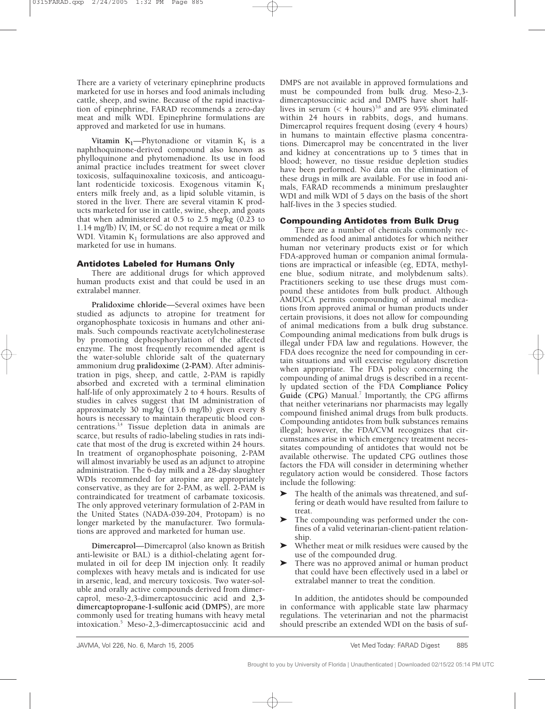There are a variety of veterinary epinephrine products marketed for use in horses and food animals including cattle, sheep, and swine. Because of the rapid inactivation of epinephrine, FARAD recommends a zero-day meat and milk WDI. Epinephrine formulations are approved and marketed for use in humans.

Vitamin  $K_1$ —Phytonadione or vitamin  $K_1$  is a naphthoquinone-derived compound also known as phylloquinone and phytomenadione. Its use in food animal practice includes treatment for sweet clover toxicosis, sulfaquinoxaline toxicosis, and anticoagulant rodenticide toxicosis. Exogenous vitamin  $K_1$ enters milk freely and, as a lipid soluble vitamin, is stored in the liver. There are several vitamin K products marketed for use in cattle, swine, sheep, and goats that when administered at 0.5 to 2.5 mg/kg (0.23 to 1.14 mg/lb) IV, IM, or SC do not require a meat or milk WDI. Vitamin  $K_1$  formulations are also approved and marketed for use in humans.

#### **Antidotes Labeled for Humans Only**

There are additional drugs for which approved human products exist and that could be used in an extralabel manner.

**Pralidoxime chloride**—Several oximes have been studied as adjuncts to atropine for treatment for organophosphate toxicosis in humans and other animals. Such compounds reactivate acetylcholinesterase by promoting dephosphorylation of the affected enzyme. The most frequently recommended agent is the water-soluble chloride salt of the quaternary ammonium drug **pralidoxime (2-PAM)**. After administration in pigs, sheep, and cattle, 2-PAM is rapidly absorbed and excreted with a terminal elimination half-life of only approximately 2 to 4 hours. Results of studies in calves suggest that IM administration of approximately 30 mg/kg (13.6 mg/lb) given every 8 hours is necessary to maintain therapeutic blood concentrations.3,4 Tissue depletion data in animals are scarce, but results of radio-labeling studies in rats indicate that most of the drug is excreted within 24 hours. In treatment of organophosphate poisoning, 2-PAM will almost invariably be used as an adjunct to atropine administration. The 6-day milk and a 28-day slaughter WDIs recommended for atropine are appropriately conservative, as they are for 2-PAM, as well. 2-PAM is contraindicated for treatment of carbamate toxicosis. The only approved veterinary formulation of 2-PAM in the United States (NADA-039-204, Protopam) is no longer marketed by the manufacturer. Two formulations are approved and marketed for human use.

**Dimercaprol**—Dimercaprol (also known as British anti-lewisite or BAL) is a dithiol-chelating agent formulated in oil for deep IM injection only. It readily complexes with heavy metals and is indicated for use in arsenic, lead, and mercury toxicosis. Two water-soluble and orally active compounds derived from dimercaprol, meso-2,3-dimercaptosuccinic acid and **2,3 dimercaptopropane-1-sulfonic acid (DMPS)**, are more commonly used for treating humans with heavy metal intoxication.<sup>5</sup> Meso-2,3-dimercaptosuccinic acid and

DMPS are not available in approved formulations and must be compounded from bulk drug. Meso-2,3 dimercaptosuccinic acid and DMPS have short halflives in serum ( $<$  4 hours)<sup>5,6</sup> and are 95% eliminated within 24 hours in rabbits, dogs, and humans. Dimercaprol requires frequent dosing (every 4 hours) in humans to maintain effective plasma concentrations. Dimercaprol may be concentrated in the liver and kidney at concentrations up to 5 times that in blood; however, no tissue residue depletion studies have been performed. No data on the elimination of these drugs in milk are available. For use in food animals, FARAD recommends a minimum preslaughter WDI and milk WDI of 5 days on the basis of the short half-lives in the 3 species studied.

### **Compounding Antidotes from Bulk Drug**

There are a number of chemicals commonly recommended as food animal antidotes for which neither human nor veterinary products exist or for which FDA-approved human or companion animal formulations are impractical or infeasible (eg, EDTA, methylene blue, sodium nitrate, and molybdenum salts). Practitioners seeking to use these drugs must compound these antidotes from bulk product. Although AMDUCA permits compounding of animal medications from approved animal or human products under certain provisions, it does not allow for compounding of animal medications from a bulk drug substance. Compounding animal medications from bulk drugs is illegal under FDA law and regulations. However, the FDA does recognize the need for compounding in certain situations and will exercise regulatory discretion when appropriate. The FDA policy concerning the compounding of animal drugs is described in a recently updated section of the FDA **Compliance Policy** Guide (CPG) Manual.<sup>7</sup> Importantly, the CPG affirms that neither veterinarians nor pharmacists may legally compound finished animal drugs from bulk products. Compounding antidotes from bulk substances remains illegal; however, the FDA/CVM recognizes that circumstances arise in which emergency treatment necessitates compounding of antidotes that would not be available otherwise. The updated CPG outlines those factors the FDA will consider in determining whether regulatory action would be considered. Those factors include the following:

- ' The health of the animals was threatened, and suffering or death would have resulted from failure to treat.
- ' The compounding was performed under the confines of a valid veterinarian-client-patient relationship.
- ' Whether meat or milk residues were caused by the use of the compounded drug.
- ' There was no approved animal or human product that could have been effectively used in a label or extralabel manner to treat the condition.

In addition, the antidotes should be compounded in conformance with applicable state law pharmacy regulations. The veterinarian and not the pharmacist should prescribe an extended WDI on the basis of suf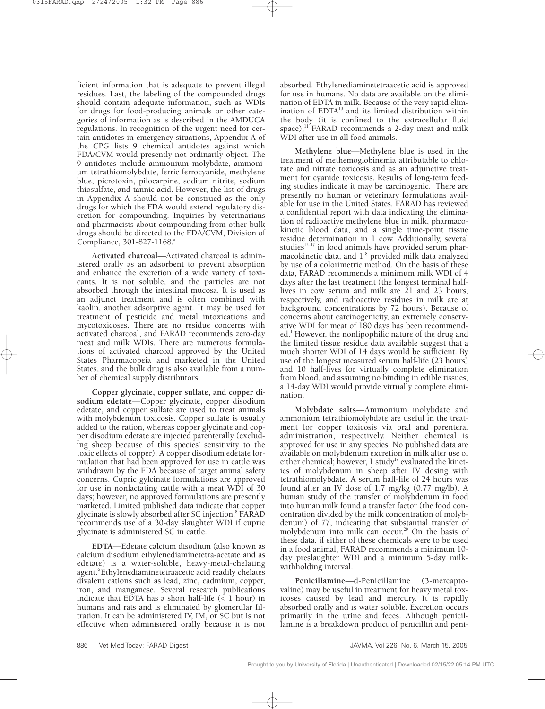ficient information that is adequate to prevent illegal residues. Last, the labeling of the compounded drugs should contain adequate information, such as WDIs for drugs for food-producing animals or other categories of information as is described in the AMDUCA regulations. In recognition of the urgent need for certain antidotes in emergency situations, Appendix A of the CPG lists 9 chemical antidotes against which FDA/CVM would presently not ordinarily object. The 9 antidotes include ammonium molybdate, ammonium tetrathiomolybdate, ferric ferrocyanide, methylene blue, picrotoxin, pilocarpine, sodium nitrite, sodium thiosulfate, and tannic acid. However, the list of drugs in Appendix A should not be construed as the only drugs for which the FDA would extend regulatory discretion for compounding. Inquiries by veterinarians and pharmacists about compounding from other bulk drugs should be directed to the FDA/CVM, Division of Compliance, 301-827-1168.<sup>a</sup>

**Activated charcoal**—Activated charcoal is administered orally as an adsorbent to prevent absorption and enhance the excretion of a wide variety of toxicants. It is not soluble, and the particles are not absorbed through the intestinal mucosa. It is used as an adjunct treatment and is often combined with kaolin, another adsorptive agent. It may be used for treatment of pesticide and metal intoxications and mycotoxicoses. There are no residue concerns with activated charcoal, and FARAD recommends zero-day meat and milk WDIs. There are numerous formulations of activated charcoal approved by the United States Pharmacopeia and marketed in the United States, and the bulk drug is also available from a number of chemical supply distributors.

**Copper glycinate, copper sulfate, and copper disodium edetate**—Copper glycinate, copper disodium edetate, and copper sulfate are used to treat animals with molybdenum toxicosis. Copper sulfate is usually added to the ration, whereas copper glycinate and copper disodium edetate are injected parenterally (excluding sheep because of this species' sensitivity to the toxic effects of copper). A copper disodium edetate formulation that had been approved for use in cattle was withdrawn by the FDA because of target animal safety concerns. Cupric gylcinate formulations are approved for use in nonlactating cattle with a meat WDI of 30 days; however, no approved formulations are presently marketed. Limited published data indicate that copper glycinate is slowly absorbed after SC injection.8 FARAD recommends use of a 30-day slaughter WDI if cupric glycinate is administered SC in cattle.

**EDTA**—Edetate calcium disodium (also known as calcium disodium ethylenediaminetetra-acetate and as edetate) is a water-soluble, heavy-metal-chelating agent.<sup>9</sup> Ethylenediaminetetraacetic acid readily chelates divalent cations such as lead, zinc, cadmium, copper, iron, and manganese. Several research publications indicate that EDTA has a short half-life  $($  1 hour) in humans and rats and is eliminated by glomerular filtration. It can be administered IV, IM, or SC but is not effective when administered orally because it is not

absorbed. Ethylenediaminetetraacetic acid is approved for use in humans. No data are available on the elimination of EDTA in milk. Because of the very rapid elimination of EDTA<sup>10</sup> and its limited distribution within the body (it is confined to the extracellular fluid space),<sup>11</sup> FARAD recommends a 2-day meat and milk WDI after use in all food animals.

**Methylene blue**—Methylene blue is used in the treatment of methemoglobinemia attributable to chlorate and nitrate toxicosis and as an adjunctive treatment for cyanide toxicosis. Results of long-term feeding studies indicate it may be carcinogenic.<sup>1</sup> There are presently no human or veterinary formulations available for use in the United States. FARAD has reviewed a confidential report with data indicating the elimination of radioactive methylene blue in milk, pharmacokinetic blood data, and a single time-point tissue residue determination in 1 cow. Additionally, several studies $12-17$  in food animals have provided serum pharmacokinetic data, and  $1^{18}$  provided milk data analyzed by use of a colorimetric method. On the basis of these data, FARAD recommends a minimum milk WDI of 4 days after the last treatment (the longest terminal halflives in cow serum and milk are 21 and 23 hours, respectively, and radioactive residues in milk are at background concentrations by 72 hours). Because of concerns about carcinogenicity, an extremely conservative WDI for meat of 180 days has been recommended. $<sup>1</sup>$  However, the nonlipophilic nature of the drug and</sup> the limited tissue residue data available suggest that a much shorter WDI of 14 days would be sufficient. By use of the longest measured serum half-life (23 hours) and 10 half-lives for virtually complete elimination from blood, and assuming no binding in edible tissues, a 14-day WDI would provide virtually complete elimination.

**Molybdate salts**—Ammonium molybdate and ammonium tetrathiomolybdate are useful in the treatment for copper toxicosis via oral and parenteral administration, respectively. Neither chemical is approved for use in any species. No published data are available on molybdenum excretion in milk after use of either chemical; however, 1 study<sup>19</sup> evaluated the kinetics of molybdenum in sheep after IV dosing with tetrathiomolybdate. A serum half-life of 24 hours was found after an IV dose of 1.7 mg/kg (0.77 mg/lb). A human study of the transfer of molybdenum in food into human milk found a transfer factor (the food concentration divided by the milk concentration of molybdenum) of 77, indicating that substantial transfer of molybdenum into milk can occur.<sup>20</sup> On the basis of these data, if either of these chemicals were to be used in a food animal, FARAD recommends a minimum 10 day preslaughter WDI and a minimum 5-day milkwithholding interval.

**Penicillamine**—d-Penicillamine (3-mercaptovaline) may be useful in treatment for heavy metal toxicoses caused by lead and mercury. It is rapidly absorbed orally and is water soluble. Excretion occurs primarily in the urine and feces. Although penicillamine is a breakdown product of penicillin and peni